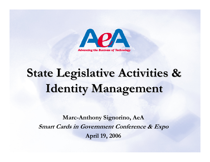

# **State Legislative Activities & State Legislative Activities & Identity Management**

**Marc-Anthony Signorino, AeA Smart Cards in Government Conference & Expo April 19, 2006**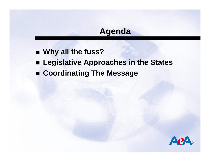## **Agenda**

- **Why all the fuss?**
- **Legislative Approaches in the States**
- **Coordinating The Message**

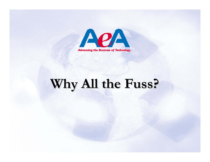

# **Why All the Fuss? Why All the Fuss?**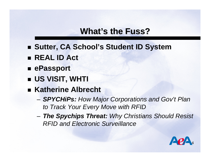## **What's the Fuss?**

- Sutter, CA School's Student ID System
- **REAL ID Act**
- **ePassport**
- **US VISIT, WHTI**
- Katherine Albrecht
	- – *SPYCHiPs: How Major Corporations and Gov't Plan to Track Your Every Move with RFID*
	- and the state of the *The Spychips Threat: Why Christians Should Resist RFID and Electronic Surveillance*

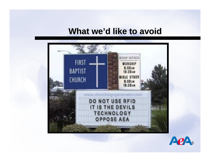#### **What we'd like to avoid**



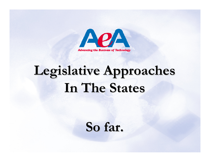

# **Legislative Approaches Legislative Approaches In The States In The States**

**So far. So far.**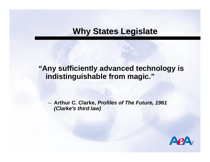## **Why States Legislate Why States Legislate**

#### **"Any sufficiently advanced technology is indistinguishable from magic."**

 **Arthur C. Clarke,** *Profiles of The Future, 1961 (Clarke's third law)*

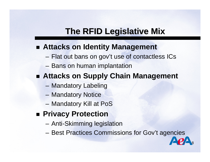## **The RFID Legislative Mix**

#### **Attacks on Identity Management**

- Flat out bans on gov't use of contactless ICs
- Bans on human implantation
- **Attacks on Supply Chain Management**
	- Mandatory Labeling
	- Mandatory Notice
	- Mandatory Kill at PoS
- Privacy Protection
	- Anti-Skimming legislation
	- Best Practices Commissions for Gov't agencies

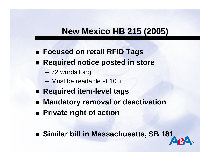## **New Mexico HB 215 (2005) New Mexico HB 215 (2005)**

- **Focused on retail RFID Tags**
- Required notice posted in store
	- 72 words long
	- –Must be readable at 10 ft.
- **Required item-level tags**
- **Mandatory removal or deactivation**
- **Private right of action**
- **Similar bill in Massachusetts, SB 181**

9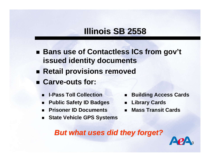## **Illinois SB 2558 Illinois SB 2558**

- Bans use of Contactless ICs from gov't **issued identity documents**
- **Retail provisions removed**
- **Carve-outs for:** 
	- $\blacksquare$ **I-Pass Toll Collection**
	- $\blacksquare$ **Public Safety ID Badges**
	- $\blacksquare$ **Prisoner ID Documents**
	- $\blacksquare$ **State Vehicle GPS Systems**
- $\blacksquare$ **Building Access Cards**
- **Library Cards**
- $\blacksquare$ **Mass Transit Cards**

*But what uses did they forget? But what uses did they forget?*

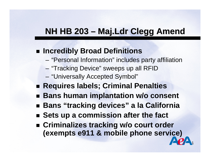## **NH HB 203 – Maj.Ldr Clegg Amend**

#### **Incredibly Broad Definitions**

- "Personal Information" includes party affiliation
- "Tracking Device" sweeps up all RFID
- "Universally Accepted Symbol"
- **Requires labels; Criminal Penalties**
- Bans human implantation w/o consent
- **Bans "tracking devices" a la California**
- Sets up a commission after the fact
- **Criminalizes tracking w/o court order (exempts e911 & mobile phone service)**

11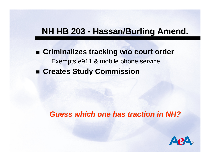## **NH HB 203 - Hassan/Burling Amend.**

 **Criminalizes tracking w/o court order** – Exempts e911 & mobile phone service **Creates Study Commission**

#### *Guess which one has traction in NH? Guess which one has traction in NH?*

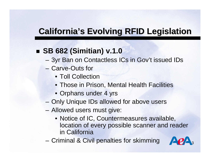## **SB 682 (Simitian) v.1.0**

- 3yr Ban on Contactless ICs in Gov't issued IDs
- Carve-Outs for
	- Toll Collection
	- Those in Prison, Mental Health Facilities
	- Orphans under 4 yrs
- Only Unique IDs allowed for above users
- Allowed users must give:
	- Notice of IC, Countermeasures available, location of every possible scanner and reader in California
- –Criminal & Civil penalties for skimming

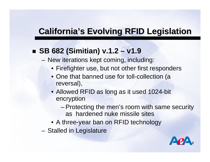### **SB 682 (Simitian) v.1.2 – v1.9**

- –– New iterations kept coming, including:
	- Firefighter use, but not other first responders
	- One that banned use for toll-collection (a reversal),
	- Allowed RFID as long as it used 1024-bit encryption
		- Protecting the men's room with same security as hardened nuke missile sites
	- A three-year ban on RFID technology
- –- Stalled in Legislature

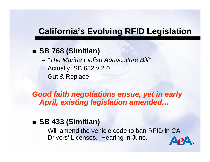## **SB 768 (Simitian)**

- –*"The Marine Finfish Aquaculture Bill"*
- –Actually, SB 682 v.2.0
- and the state of the state – Gut & Replace

*Good faith negotiations ensue, yet in early Good faith negotiations ensue, yet in early*  April, existing legislation amended...

### ■ **SB 433 (Simitian)**

– Will amend the vehicle code to ban RFID in CA Drivers' Licenses. Hearing in June.

15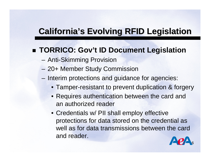### **TORRICO: Gov't ID Document Legislation**

- –Anti-Skimming Provision
- **Harry Committee** 20+ Member Study Commission
- –- Interim protections and guidance for agencies:
	- Tamper-resistant to prevent duplication & forgery
	- Requires authentication between the card and an authorized reader
	- Credentials w/ PII shall employ effective protections for data stored on the credential as well as for data transmissions between the card and reader.

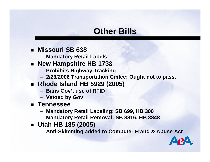## **Other Bills Other Bills**

- **Missouri SB 638**
	- **Mandatory Retail Labels**
- **New Hampshire HB 1738**
	- **Prohibits Highway Tracking**
	- **2/23/2006 Transportation Cmtee: Ought not to pass.**
- **Rhode Island HB 5929 (2005)**
	- **Bans Gov't use of RFID**
	- **Vetoed by Gov**
- **Tennessee**
	- **Mandatory Retail Labeling: SB 699, HB 300**
	- –**Mandatory Retail Removal: SB 3816, HB 3848**
- **Utah HB 185 (2005)**
	- **Anti-Skimming added to Computer Fraud & Abuse Act**

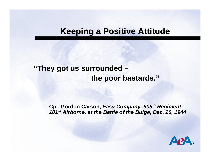#### **Keeping a Positive Attitude Keeping a Positive Attitude**

#### **"They got us surrounded – the poor bastards."**

 **Cpl. Gordon Carson,** *Easy Company, 505th Regiment, 101st Airborne, at the Battle of the Bulge, Dec. 20, 1944*

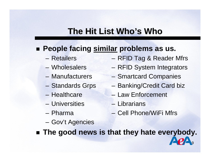## **The Hit List Who The Hit List Who's Who**

### **People facing similar problems as us.**

- –Retailers
- –Wholesalers
- –Manufacturers
- Standards Grps
- Healthcare
- Universities
- Pharma
- RFID Tag & Reader Mfrs
- RFID System Integrators
- Smartcard Companies
- Banking/Credit Card biz
- –Law Enforcement
- Librarians
- –Cell Phone/WiFi Mfrs

19

– Gov't Agencies

**The good news is that they hate everybody.**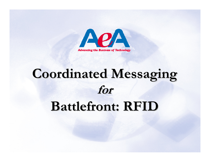

# **Coordinated Messaging Coordinated Messaging for**

## **Battlefront: RFID**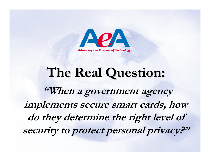

# **The Real Question: The Real Question:**

**"When a government agency implements secure smart cards, how do they determine the right level of security to protect personal privacy?"**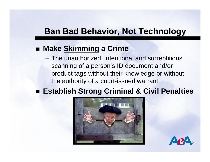## **Ban Bad Behavior, Not Technology Ban Bad Behavior, Not Technology**

### **Make Skimming a Crime**

– The unauthorized, intentional and surreptitious scanning of a person's ID document and/or product tags without their knowledge or without the authority of a court-issued warrant.

#### **Establish Strong Criminal & Civil Penalties**



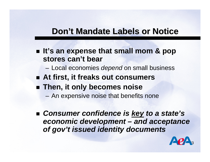### **Don't Mandate Labels or Notice**

■ It's an expense that small mom & pop **stores can't bear**

Local economies *depend* on small business

- **At first, it freaks out consumers**
- **Then, it only becomes noise**
	- An expensive noise that benefits none
- *Consumer confidence is key to a state's economic development – and acceptance of gov't issued identity documents*

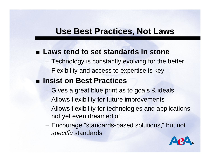## **Use Best Practices, Not Laws Use Best Practices, Not Laws**

#### **Laws tend to set standards in stone**

- Technology is constantly evolving for the better
- Flexibility and access to expertise is key

#### ■ Insist on Best Practices

- Gives a great blue print as to goals & ideals
- Allows flexibility for future improvements
- Allows flexibility for technologies and applications not yet even dreamed of
- Encourage "standards-based solutions," but not *specific* standards

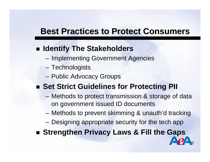## **Best Practices to Protect Consumers Best Practices to Protect Consumers**

## **Identify The Stakeholders**

- –- Implementing Government Agencies
- Technologists
- Public Advocacy Groups

## **Example 1 Set Strict Guidelines for Protecting PII**

- Methods to protect transmission & storage of data on government issued ID documents
- Methods to prevent skimming & unauth'd tracking

25

- Designing appropriate security for the tech app
- **Strengthen Privacy Laws & Fill the Gaps**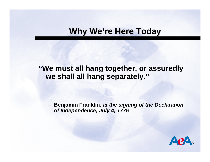### **Why We're Here Today**

#### **"We must all hang together, or assuredly we shall all hang separately."**

 **Benjamin Franklin,** *at the signing of the Declaration of Independence, July 4, 1776*